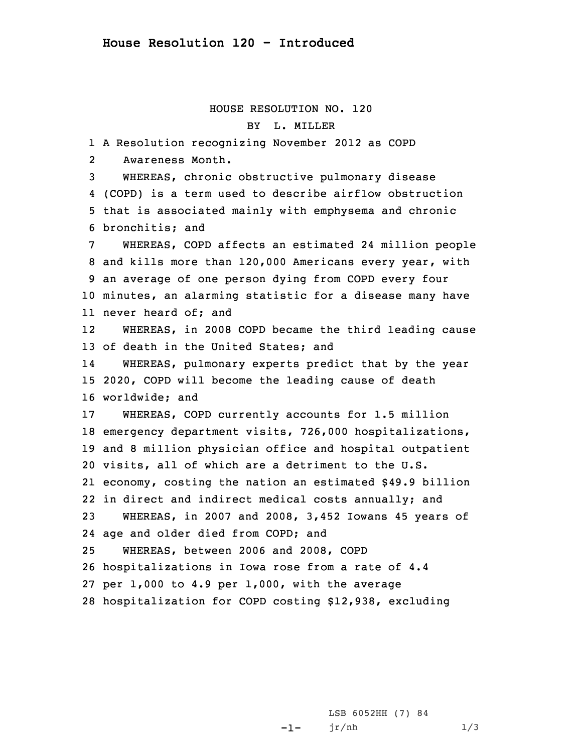## HOUSE RESOLUTION NO. 120 BY L. MILLER

 <sup>A</sup> Resolution recognizing November 2012 as COPD 2 Awareness Month. WHEREAS, chronic obstructive pulmonary disease (COPD) is <sup>a</sup> term used to describe airflow obstruction that is associated mainly with emphysema and chronic bronchitis; and WHEREAS, COPD affects an estimated 24 million people and kills more than 120,000 Americans every year, with an average of one person dying from COPD every four minutes, an alarming statistic for <sup>a</sup> disease many have never heard of; and 12 WHEREAS, in 2008 COPD became the third leading cause of death in the United States; and 14 WHEREAS, pulmonary experts predict that by the year 2020, COPD will become the leading cause of death worldwide; and WHEREAS, COPD currently accounts for 1.5 million emergency department visits, 726,000 hospitalizations, and 8 million physician office and hospital outpatient visits, all of which are <sup>a</sup> detriment to the U.S. economy, costing the nation an estimated \$49.9 billion in direct and indirect medical costs annually; and WHEREAS, in 2007 and 2008, 3,452 Iowans 45 years of age and older died from COPD; and WHEREAS, between 2006 and 2008, COPD hospitalizations in Iowa rose from <sup>a</sup> rate of 4.4 per 1,000 to 4.9 per 1,000, with the average hospitalization for COPD costing \$12,938, excluding

> -1-LSB 6052HH (7) 84  $jr/nh$  1/3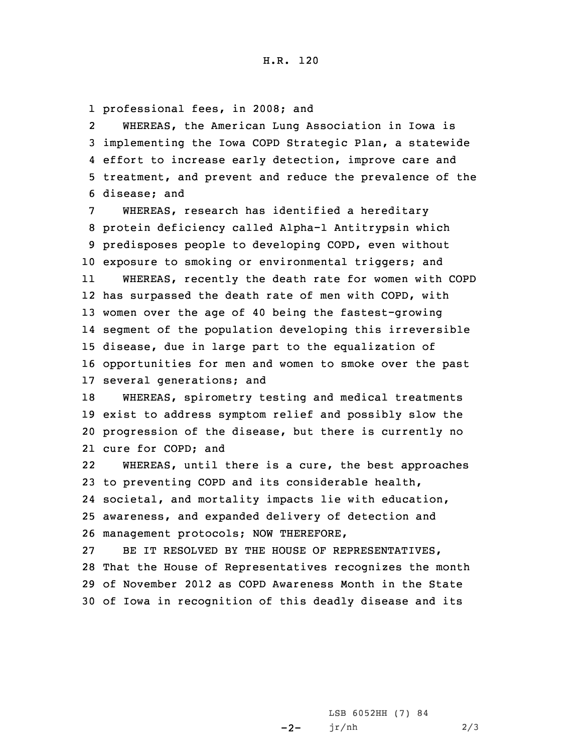1 professional fees, in 2008; and

2 WHEREAS, the American Lung Association in Iowa is implementing the Iowa COPD Strategic Plan, <sup>a</sup> statewide effort to increase early detection, improve care and treatment, and prevent and reduce the prevalence of the disease; and

 WHEREAS, research has identified <sup>a</sup> hereditary protein deficiency called Alpha-1 Antitrypsin which predisposes people to developing COPD, even without exposure to smoking or environmental triggers; and 11 WHEREAS, recently the death rate for women with COPD has surpassed the death rate of men with COPD, with women over the age of 40 being the fastest-growing segment of the population developing this irreversible disease, due in large part to the equalization of opportunities for men and women to smoke over the past several generations; and

 WHEREAS, spirometry testing and medical treatments exist to address symptom relief and possibly slow the progression of the disease, but there is currently no cure for COPD; and

22 WHEREAS, until there is <sup>a</sup> cure, the best approaches to preventing COPD and its considerable health, societal, and mortality impacts lie with education, awareness, and expanded delivery of detection and management protocols; NOW THEREFORE,

 BE IT RESOLVED BY THE HOUSE OF REPRESENTATIVES, That the House of Representatives recognizes the month of November 2012 as COPD Awareness Month in the State of Iowa in recognition of this deadly disease and its

> $-2-$ LSB 6052HH (7) 84 jr/nh 2/3